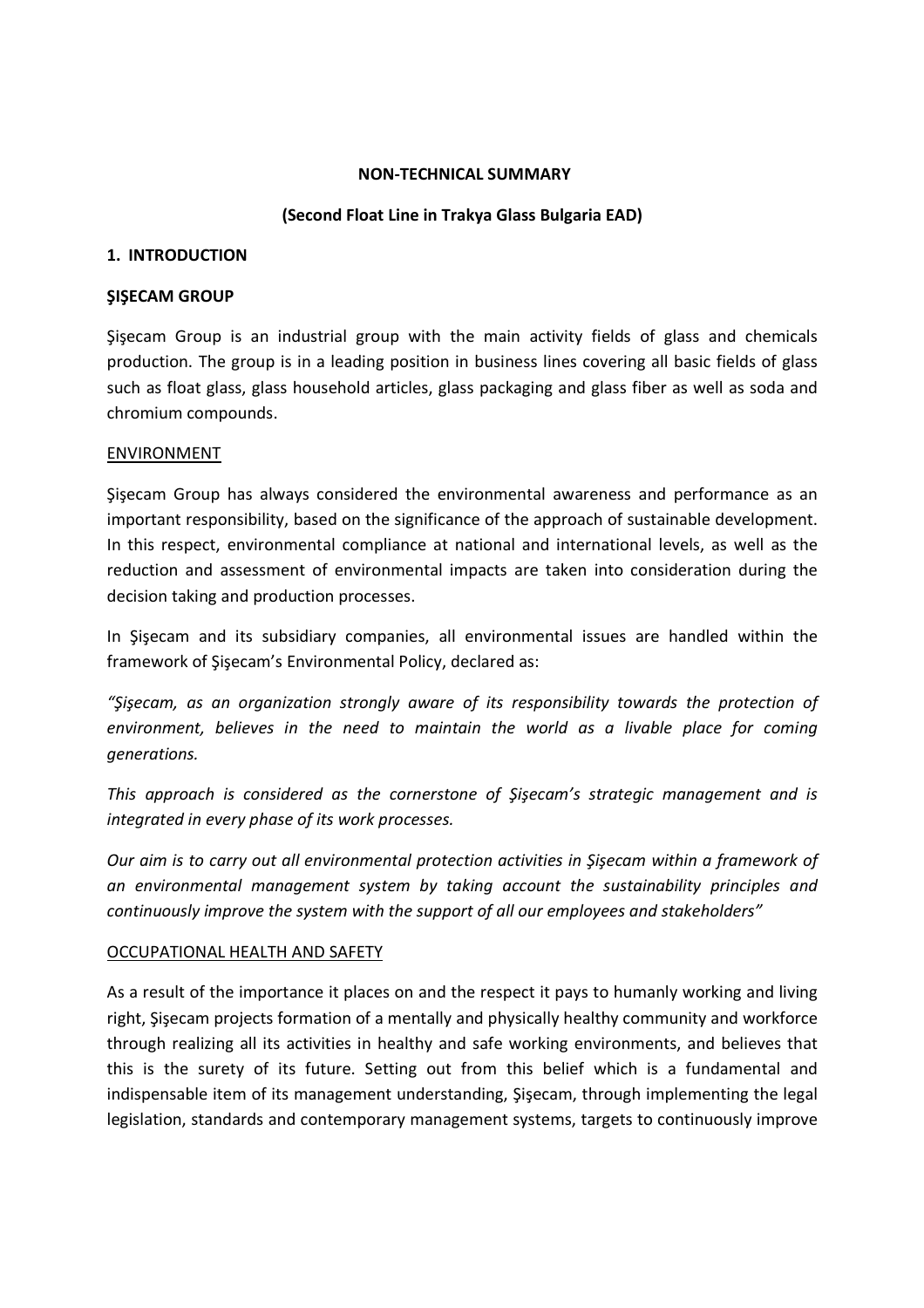#### **NON-TECHNICAL SUMMARY**

#### **(Second Float Line in Trakya Glass Bulgaria EAD)**

#### **1. INTRODUCTION**

#### **ŞIŞECAM GROUP**

Şişecam Group is an industrial group with the main activity fields of glass and chemicals production. The group is in a leading position in business lines covering all basic fields of glass such as float glass, glass household articles, glass packaging and glass fiber as well as soda and chromium compounds.

#### **ENVIRONMENT**

Şişecam Group has always considered the environmental awareness and performance as an important responsibility, based on the significance of the approach of sustainable development. In this respect, environmental compliance at national and international levels, as well as the reduction and assessment of environmental impacts are taken into consideration during the decision taking and production processes.

In Şişecam and its subsidiary companies, all environmental issues are handled within the framework of Şişecam's Environmental Policy, declared as:

*"Şişecam, as an organization strongly aware of its responsibility towards the protection of environment, believes in the need to maintain the world as a livable place for coming generations.* 

*This approach is considered as the cornerstone of Şişecam's strategic management and is integrated in every phase of its work processes.* 

*Our aim is to carry out all environmental protection activities in Şişecam within a framework of an environmental management system by taking account the sustainability principles and continuously improve the system with the support of all our employees and stakeholders"* 

#### OCCUPATIONAL HEALTH AND SAFETY

As a result of the importance it places on and the respect it pays to humanly working and living right, Şişecam projects formation of a mentally and physically healthy community and workforce through realizing all its activities in healthy and safe working environments, and believes that this is the surety of its future. Setting out from this belief which is a fundamental and indispensable item of its management understanding, Şişecam, through implementing the legal legislation, standards and contemporary management systems, targets to continuously improve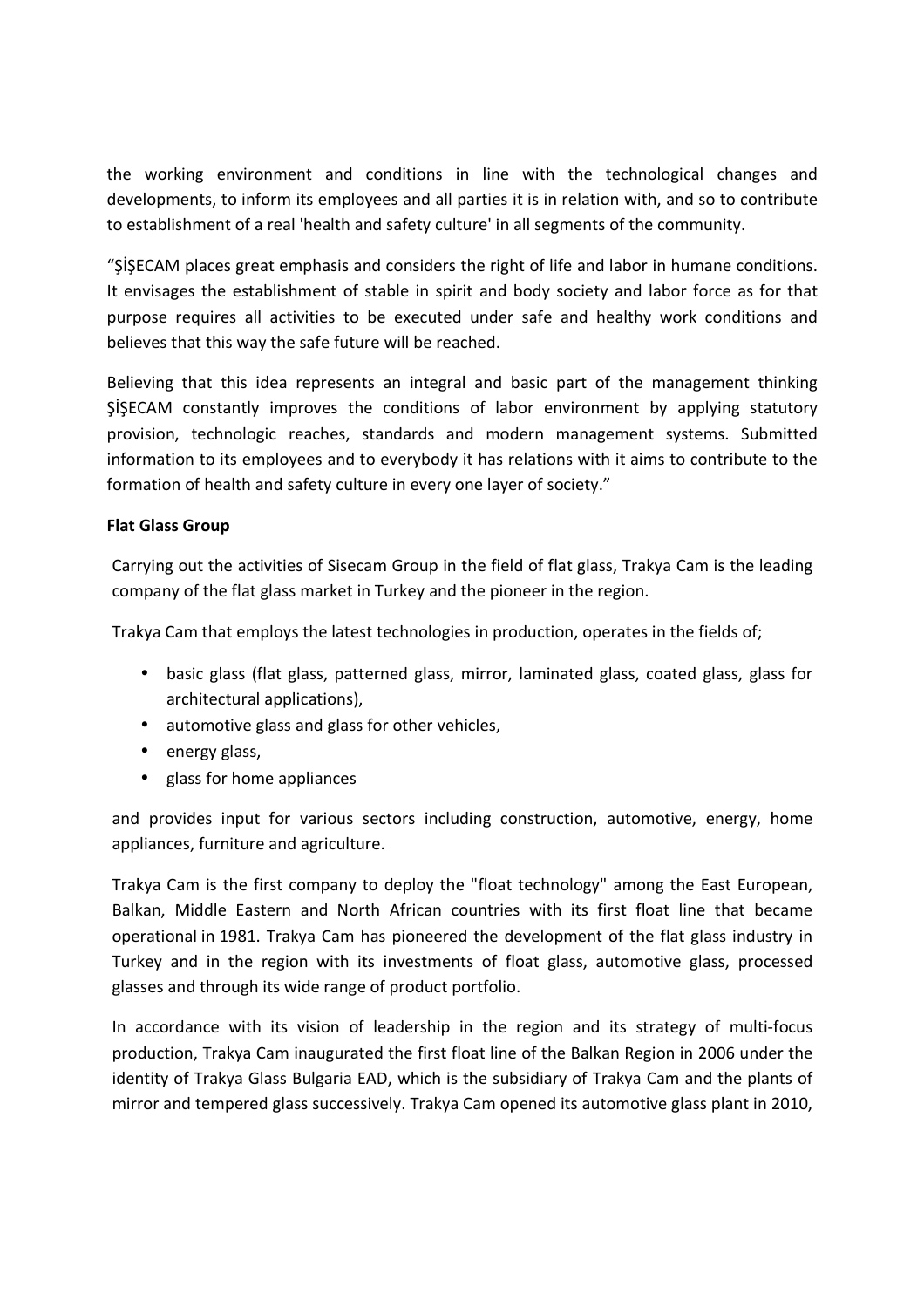the working environment and conditions in line with the technological changes and developments, to inform its employees and all parties it is in relation with, and so to contribute to establishment of a real 'health and safety culture' in all segments of the community.

"ŞİŞECAM places great emphasis and considers the right of life and labor in humane conditions. It envisages the establishment of stable in spirit and body society and labor force as for that purpose requires all activities to be executed under safe and healthy work conditions and believes that this way the safe future will be reached.

Believing that this idea represents an integral and basic part of the management thinking ŞİŞECAM constantly improves the conditions of labor environment by applying statutory provision, technologic reaches, standards and modern management systems. Submitted information to its employees and to everybody it has relations with it aims to contribute to the formation of health and safety culture in every one layer of society."

#### **Flat Glass Group**

Carrying out the activities of Sisecam Group in the field of flat glass, Trakya Cam is the leading company of the flat glass market in Turkey and the pioneer in the region.

Trakya Cam that employs the latest technologies in production, operates in the fields of;

- basic glass (flat glass, patterned glass, mirror, laminated glass, coated glass, glass for architectural applications),
- automotive glass and glass for other vehicles,
- energy glass,
- glass for home appliances

and provides input for various sectors including construction, automotive, energy, home appliances, furniture and agriculture.

Trakya Cam is the first company to deploy the "float technology" among the East European, Balkan, Middle Eastern and North African countries with its first float line that became operational in 1981. Trakya Cam has pioneered the development of the flat glass industry in Turkey and in the region with its investments of float glass, automotive glass, processed glasses and through its wide range of product portfolio.

In accordance with its vision of leadership in the region and its strategy of multi-focus production, Trakya Cam inaugurated the first float line of the Balkan Region in 2006 under the identity of Trakya Glass Bulgaria EAD, which is the subsidiary of Trakya Cam and the plants of mirror and tempered glass successively. Trakya Cam opened its automotive glass plant in 2010,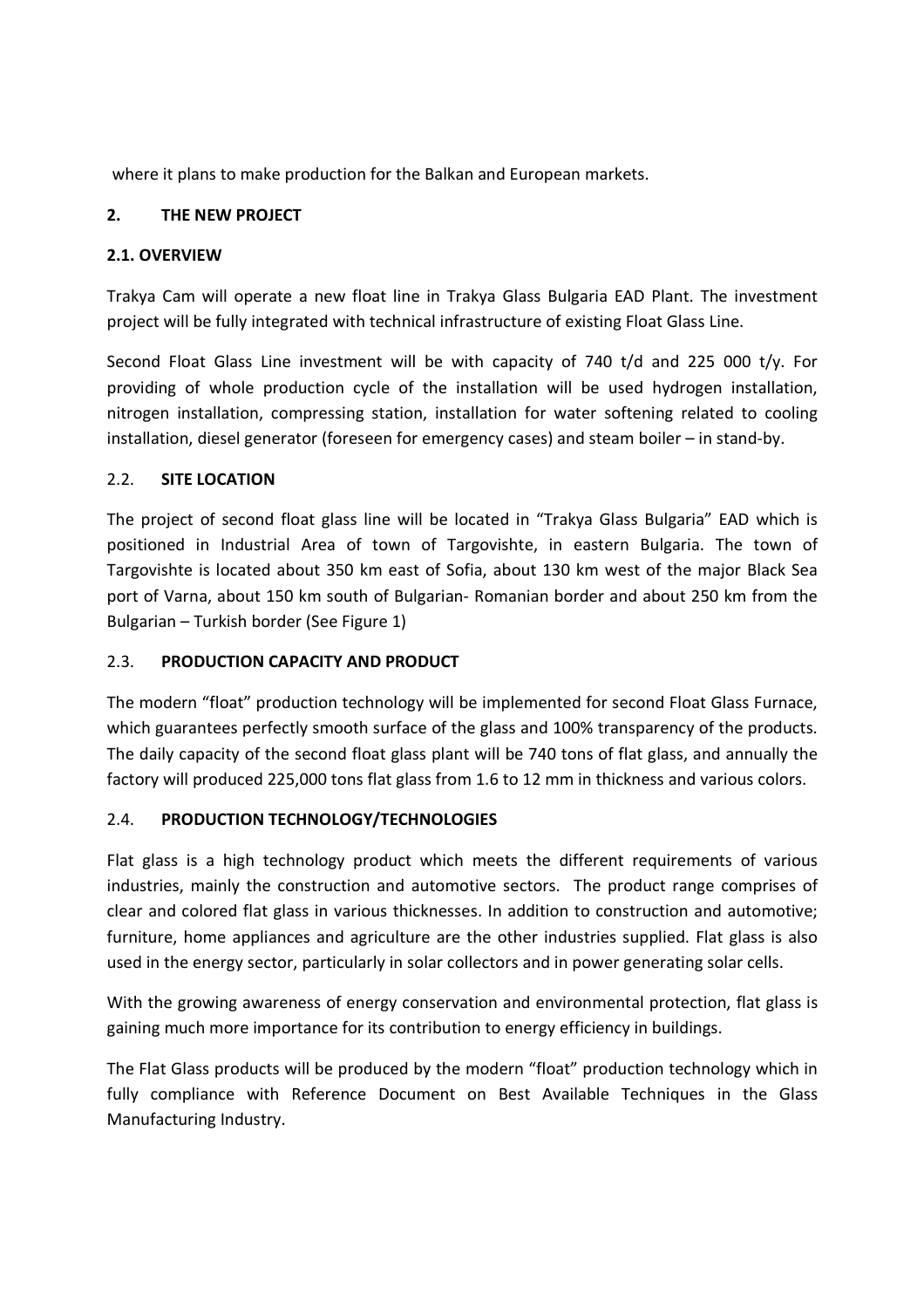where it plans to make production for the Balkan and European markets.

#### **2. THE NEW PROJECT**

#### **2.1. OVERVIEW**

Trakya Cam will operate a new float line in Trakya Glass Bulgaria EAD Plant. The investment project will be fully integrated with technical infrastructure of existing Float Glass Line.

Second Float Glass Line investment will be with capacity of 740 t/d and 225 000 t/y. For providing of whole production cycle of the installation will be used hydrogen installation, nitrogen installation, compressing station, installation for water softening related to cooling installation, diesel generator (foreseen for emergency cases) and steam boiler – in stand-by.

#### 2.2. **SITE LOCATION**

The project of second float glass line will be located in "Trakya Glass Bulgaria" EAD which is positioned in Industrial Area of town of Targovishte, in eastern Bulgaria. The town of Targovishte is located about 350 km east of Sofia, about 130 km west of the major Black Sea port of Varna, about 150 km south of Bulgarian- Romanian border and about 250 km from the Bulgarian – Turkish border (See Figure 1)

#### 2.3. **PRODUCTION CAPACITY AND PRODUCT**

The modern "float" production technology will be implemented for second Float Glass Furnace, which guarantees perfectly smooth surface of the glass and 100% transparency of the products. The daily capacity of the second float glass plant will be 740 tons of flat glass, and annually the factory will produced 225,000 tons flat glass from 1.6 to 12 mm in thickness and various colors.

# 2.4. **PRODUCTION TECHNOLOGY/TECHNOLOGIES**

Flat glass is a high technology product which meets the different requirements of various industries, mainly the construction and automotive sectors. The product range comprises of clear and colored flat glass in various thicknesses. In addition to construction and automotive; furniture, home appliances and agriculture are the other industries supplied. Flat glass is also used in the energy sector, particularly in solar collectors and in power generating solar cells.

With the growing awareness of energy conservation and environmental protection, flat glass is gaining much more importance for its contribution to energy efficiency in buildings.

The Flat Glass products will be produced by the modern "float" production technology which in fully compliance with Reference Document on Best Available Techniques in the Glass Manufacturing Industry.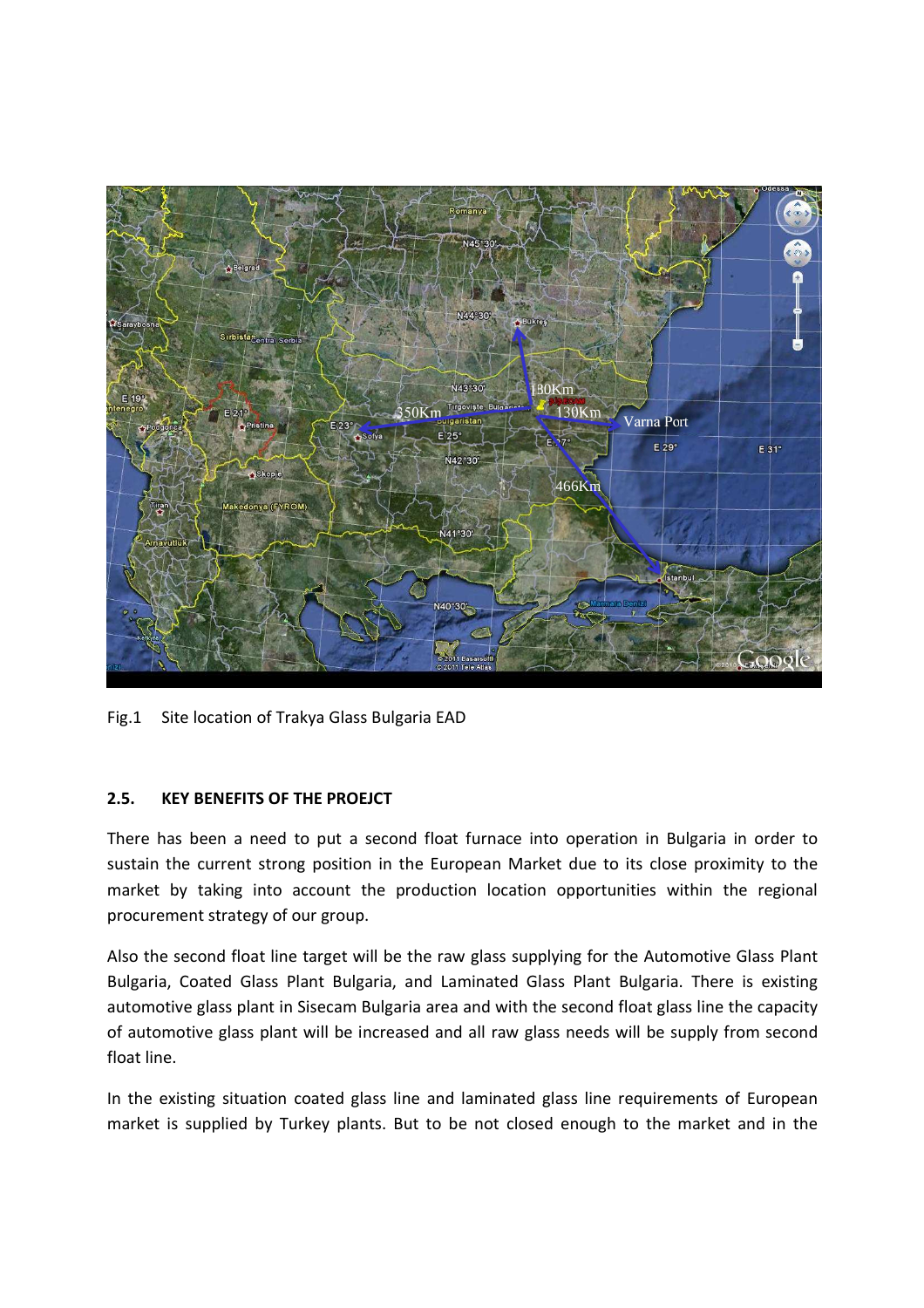

Fig.1 Site location of Trakya Glass Bulgaria EAD

# **2.5. KEY BENEFITS OF THE PROEJCT**

There has been a need to put a second float furnace into operation in Bulgaria in order to sustain the current strong position in the European Market due to its close proximity to the market by taking into account the production location opportunities within the regional procurement strategy of our group.

Also the second float line target will be the raw glass supplying for the Automotive Glass Plant Bulgaria, Coated Glass Plant Bulgaria, and Laminated Glass Plant Bulgaria. There is existing automotive glass plant in Sisecam Bulgaria area and with the second float glass line the capacity of automotive glass plant will be increased and all raw glass needs will be supply from second float line.

In the existing situation coated glass line and laminated glass line requirements of European market is supplied by Turkey plants. But to be not closed enough to the market and in the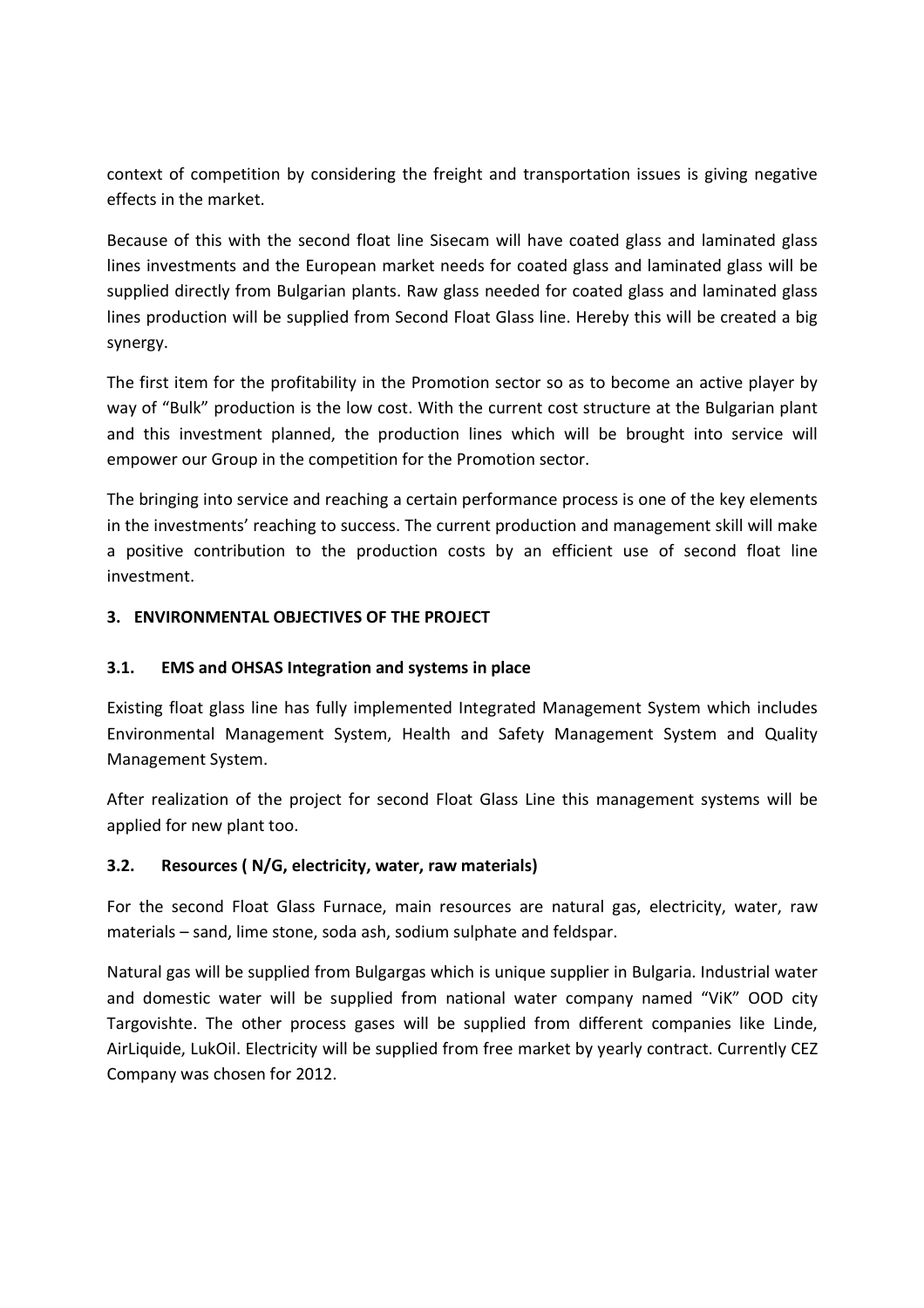context of competition by considering the freight and transportation issues is giving negative effects in the market.

Because of this with the second float line Sisecam will have coated glass and laminated glass lines investments and the European market needs for coated glass and laminated glass will be supplied directly from Bulgarian plants. Raw glass needed for coated glass and laminated glass lines production will be supplied from Second Float Glass line. Hereby this will be created a big synergy.

The first item for the profitability in the Promotion sector so as to become an active player by way of "Bulk" production is the low cost. With the current cost structure at the Bulgarian plant and this investment planned, the production lines which will be brought into service will empower our Group in the competition for the Promotion sector.

The bringing into service and reaching a certain performance process is one of the key elements in the investments' reaching to success. The current production and management skill will make a positive contribution to the production costs by an efficient use of second float line investment.

# **3. ENVIRONMENTAL OBJECTIVES OF THE PROJECT**

# **3.1. EMS and OHSAS Integration and systems in place**

Existing float glass line has fully implemented Integrated Management System which includes Environmental Management System, Health and Safety Management System and Quality Management System.

After realization of the project for second Float Glass Line this management systems will be applied for new plant too.

# **3.2. Resources ( N/G, electricity, water, raw materials)**

For the second Float Glass Furnace, main resources are natural gas, electricity, water, raw materials – sand, lime stone, soda ash, sodium sulphate and feldspar.

Natural gas will be supplied from Bulgargas which is unique supplier in Bulgaria. Industrial water and domestic water will be supplied from national water company named "ViK" OOD city Targovishte. The other process gases will be supplied from different companies like Linde, AirLiquide, LukOil. Electricity will be supplied from free market by yearly contract. Currently CEZ Company was chosen for 2012.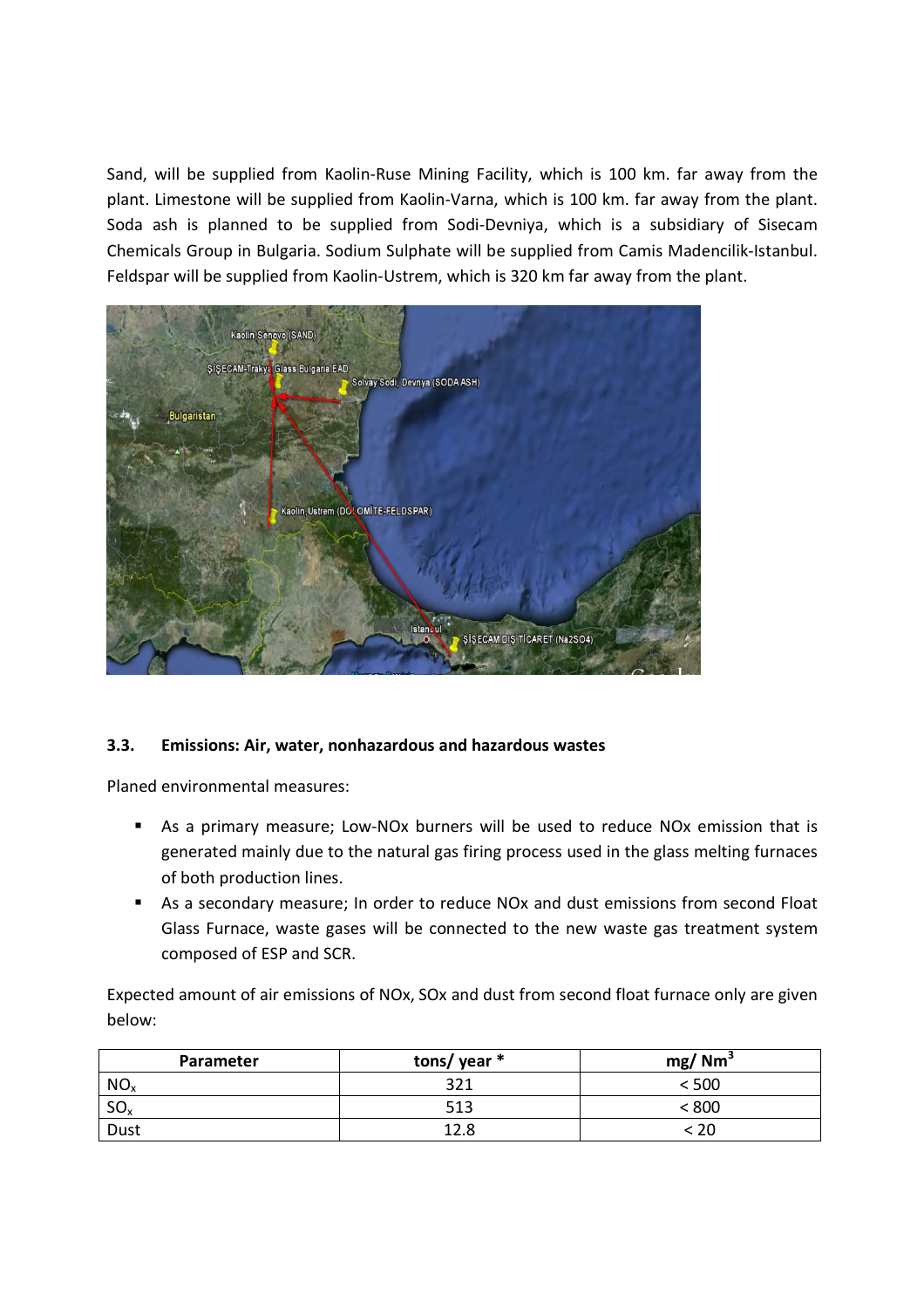Sand, will be supplied from Kaolin-Ruse Mining Facility, which is 100 km. far away from the plant. Limestone will be supplied from Kaolin-Varna, which is 100 km. far away from the plant. Soda ash is planned to be supplied from Sodi-Devniya, which is a subsidiary of Sisecam Chemicals Group in Bulgaria. Sodium Sulphate will be supplied from Camis Madencilik-Istanbul. Feldspar will be supplied from Kaolin-Ustrem, which is 320 km far away from the plant.



# **3.3. Emissions: Air, water, nonhazardous and hazardous wastes**

Planed environmental measures:

- As a primary measure; Low-NOx burners will be used to reduce NOx emission that is generated mainly due to the natural gas firing process used in the glass melting furnaces of both production lines.
- As a secondary measure; In order to reduce NOx and dust emissions from second Float Glass Furnace, waste gases will be connected to the new waste gas treatment system composed of ESP and SCR.

Expected amount of air emissions of NOx, SOx and dust from second float furnace only are given below:

| Parameter       | tons/year $*$ | mg/Mm <sup>3</sup> |
|-----------------|---------------|--------------------|
| NO <sub>x</sub> | 321           | : 500              |
| $JU_{\chi}$     | 513           | : 800              |
| Dust            | 12 ጸ          | -20                |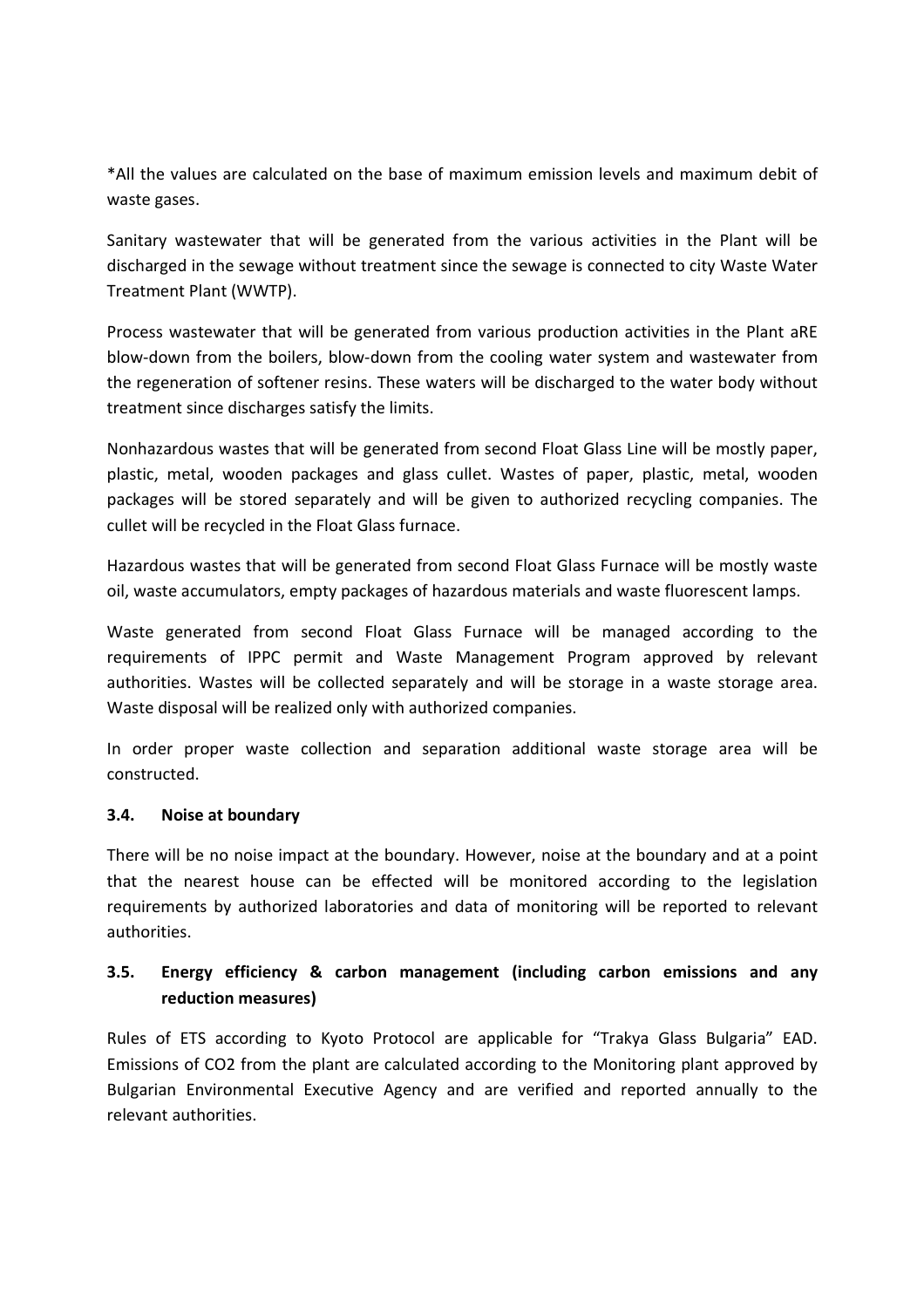\*All the values are calculated on the base of maximum emission levels and maximum debit of waste gases.

Sanitary wastewater that will be generated from the various activities in the Plant will be discharged in the sewage without treatment since the sewage is connected to city Waste Water Treatment Plant (WWTP).

Process wastewater that will be generated from various production activities in the Plant aRE blow-down from the boilers, blow-down from the cooling water system and wastewater from the regeneration of softener resins. These waters will be discharged to the water body without treatment since discharges satisfy the limits.

Nonhazardous wastes that will be generated from second Float Glass Line will be mostly paper, plastic, metal, wooden packages and glass cullet. Wastes of paper, plastic, metal, wooden packages will be stored separately and will be given to authorized recycling companies. The cullet will be recycled in the Float Glass furnace.

Hazardous wastes that will be generated from second Float Glass Furnace will be mostly waste oil, waste accumulators, empty packages of hazardous materials and waste fluorescent lamps.

Waste generated from second Float Glass Furnace will be managed according to the requirements of IPPC permit and Waste Management Program approved by relevant authorities. Wastes will be collected separately and will be storage in a waste storage area. Waste disposal will be realized only with authorized companies.

In order proper waste collection and separation additional waste storage area will be constructed.

# **3.4. Noise at boundary**

There will be no noise impact at the boundary. However, noise at the boundary and at a point that the nearest house can be effected will be monitored according to the legislation requirements by authorized laboratories and data of monitoring will be reported to relevant authorities.

# **3.5. Energy efficiency & carbon management (including carbon emissions and any reduction measures)**

Rules of ETS according to Kyoto Protocol are applicable for "Trakya Glass Bulgaria" EAD. Emissions of CO2 from the plant are calculated according to the Monitoring plant approved by Bulgarian Environmental Executive Agency and are verified and reported annually to the relevant authorities.